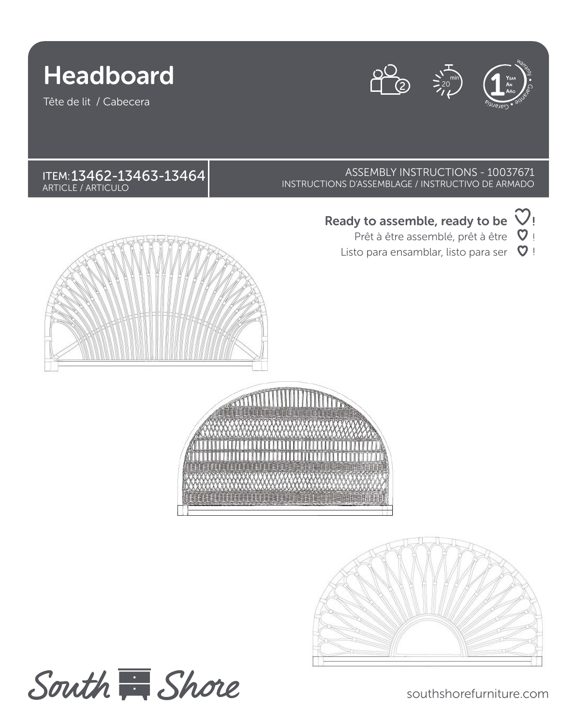



Tête de lit / Cabecera





southshorefurniture.com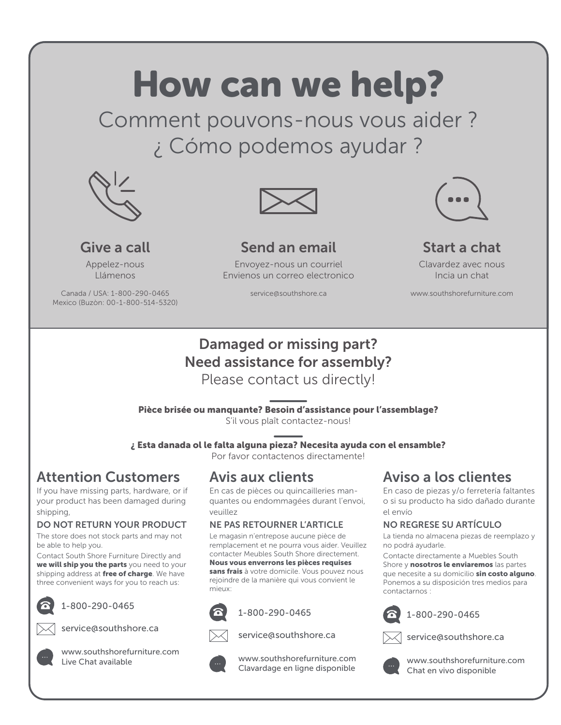# How can we help?

Comment pouvons-nous vous aider ? ¿ Cómo podemos ayudar ?



**Give a call** Appelez-nous Llámenos Canada / USA: 1-800-290-0465 Mexico (Buzòn: 00-1-800-514-5320)



### **Send an email**

Envoyez-nous un courriel Envienos un correo electronico

service@southshore.ca



### **Start a chat**

Clavardez avec nous Incia un chat

www.southshorefurniture.com

# **Damaged or missing part? Need assistance for assembly?**

Please contact us directly!

**Pièce brisée ou manquante? Besoin d'assistance pour l'assemblage?**

S'il vous plaît contactez-nous!

**¿ Esta danada ol le falta alguna pieza? Necesita ayuda con el ensamble?**

Por favor contactenos directamente!

### **Attention Customers**

If you have missing parts, hardware, or if your product has been damaged during shipping,

### **DO NOT RETURN YOUR PRODUCT**

The store does not stock parts and may not be able to help you.

Contact South Shore Furniture Directly and **we will ship you the parts** you need to your shipping address at **free of charge**. We have three convenient ways for you to reach us:



1-800-290-0465





service@southshore.ca



www.southshorefurniture.com Live Chat available

### **Avis aux clients**

En cas de pièces ou quincailleries manquantes ou endommagées durant l'envoi, veuillez

### **NE PAS RETOURNER L'ARTICLE**

Le magasin n'entrepose aucune pièce de remplacement et ne pourra vous aider. Veuillez contacter Meubles South Shore directement. **Nous vous enverrons les pièces requises sans frais** à votre domicile. Vous pouvez nous rejoindre de la manière qui vous convient le mieux:



1-800-290-0465



service@southshore.ca



 www.southshorefurniture.com Clavardage en ligne disponible

### **Aviso a los clientes**

En caso de piezas y/o ferretería faltantes o si su producto ha sido dañado durante el envío

### **NO REGRESE SU ARTÍCULO**

La tienda no almacena piezas de reemplazo y no podrá ayudarle.

Contacte directamente a Muebles South Shore y **nosotros le enviaremos** las partes que necesite a su domicilio **sin costo alguno**. Ponemos a su disposición tres medios para contactarnos :



1-800-290-0465

service@southshore.ca



www.southshorefurniture.com Chat en vivo disponible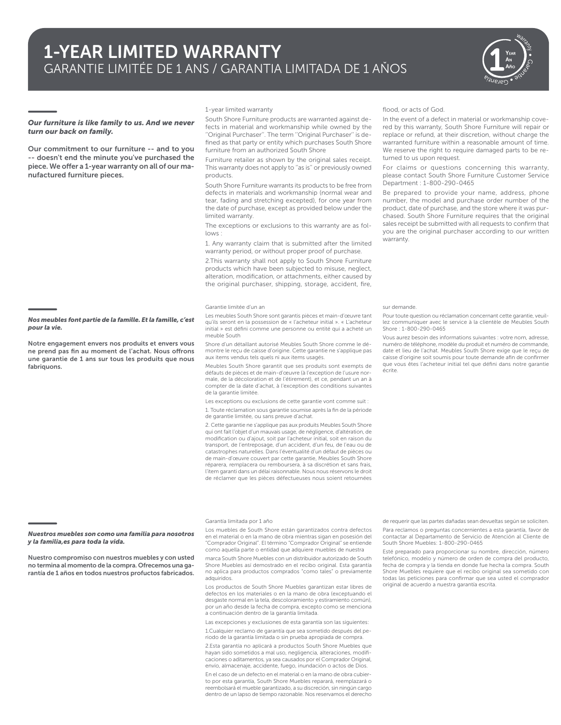

#### *Our furniture is like family to us. And we never turn our back on family.*

**Our commitment to our furniture -- and to you -- doesn't end the minute you've purchased the**  piece. We offer a 1-year warranty on all of our ma**nufactured furniture pieces.**

*Nos meubles font partie de la famille. Et la famille, c'est* 

**Notre engagement envers nos produits et envers vous**  ne prend pas fin au moment de l'achat. Nous offrons **une garantie de 1 ans sur tous les produits que nous**

*pour la vie.*

**fabriquons.**

1-year limited warranty

South Shore Furniture products are warranted against defects in material and workmanship while owned by the ''Original Purchaser''. The term ''Original Purchaser'' is defined as that party or entity which purchases South Shore furniture from an authorized South Shore

Furniture retailer as shown by the original sales receipt. This warranty does not apply to ''as is'' or previously owned products.

South Shore Furniture warrants its products to be free from defects in materials and workmanship (normal wear and tear, fading and stretching excepted), for one year from the date of purchase, except as provided below under the limited warranty.

The exceptions or exclusions to this warranty are as follows :

1. Any warranty claim that is submitted after the limited warranty period, or without proper proof of purchase.

2.This warranty shall not apply to South Shore Furniture products which have been subjected to misuse, neglect, alteration, modification, or attachments, either caused by the original purchaser, shipping, storage, accident, fire,

#### Garantie limitée d'un an

Les meubles South Shore sont garantis pièces et main-d'œuvre tant qu'ils seront en la possession de « l'acheteur initial ». « L'acheteur initial » est défini comme une personne ou entité qui a acheté un meuble South

Shore d'un détaillant autorisé Meubles South Shore comme le démontre le reçu de caisse d'origine. Cette garantie ne s'applique pas aux items vendus tels quels ni aux items usagés.

Meubles South Shore garantit que ses produits sont exempts de défauts de pièces et de main-d'œuvre (à l'exception de l'usure normale, de la décoloration et de l'étirement), et ce, pendant un an à compter de la date d'achat, à l'exception des conditions suivantes de la garantie limitée.

Les exceptions ou exclusions de cette garantie vont comme suit : 1. Toute réclamation sous garantie soumise après la fin de la période de garantie limitée, ou sans preuve d'achat.

2. Cette garantie ne s'applique pas aux produits Meubles South Shore qui ont fait l'objet d'un mauvais usage, de négligence, d'altération, de modification ou d'ajout, soit par l'acheteur initial, soit en raison du transport, de l'entreposage, d'un accident, d'un feu, de l'eau ou de catastrophes naturelles. Dans l'éventualité d'un défaut de pièces ou de main-d'œuvre couvert par cette garantie, Meubles South Shore réparera, remplacera ou remboursera, à sa discrétion et sans frais, l'item garanti dans un délai raisonnable. Nous nous réservons le droit de réclamer que les pièces défectueuses nous soient retournées

#### Garantía limitada por 1 año

#### *Nuestros muebles son como una familia para nosotros y la familia,es para toda la vida.*

**Nuestro compromiso con nuestros muebles y con usted no termina al momento de la compra. Ofrecemos una garantía de 1 años en todos nuestros profuctos fabricados.** Los muebles de South Shore están garantizados contra defectos en el material o en la mano de obra mientras sigan en posesión del "Comprador Original". El término "Comprador Original" se entiende como aquella parte o entidad que adquiere muebles de nuestra

marca South Shore Muebles con un distribuidor autorizado de South Shore Muebles así demostrado en el recibo original. Esta garantía no aplica para productos comprados "como tales" o previamente adquiridos.

Los productos de South Shore Muebles garantizan estar libres de defectos en los materiales o en la mano de obra (exceptuando el desgaste normal en la tela, descoloramiento y estiramiento común), por un año desde la fecha de compra, excepto como se menciona a continuación dentro de la garantía limitada.

Las excepciones y exclusiones de esta garantía son las siguientes:

1.Cualquier reclamo de garantía que sea sometido después del periodo de la garantía limitada o sin prueba apropiada de compra.

2.Esta garantía no aplicará a productos South Shore Muebles que hayan sido sometidos a mal uso, negligencia, alteraciones, modifi caciones o aditamentos, ya sea causados por el Comprador Original, envío, almacenaje, accidente, fuego, inundación o actos de Dios. En el caso de un defecto en el material o en la mano de obra cubier-

to por esta garantía, South Shore Muebles reparará, reemplazará o reembolsará el mueble garantizado, a su discreción, sin ningún cargo dentro de un lapso de tiempo razonable. Nos reservamos el derecho

flood, or acts of God.

In the event of a defect in material or workmanship covered by this warranty, South Shore Furniture will repair or replace or refund, at their discretion, without charge the warranted furniture within a reasonable amount of time. We reserve the right to require damaged parts to be returned to us upon request.

For claims or questions concerning this warranty, please contact South Shore Furniture Customer Service Department : 1-800-290-0465

Be prepared to provide your name, address, phone number, the model and purchase order number of the product, date of purchase, and the store where it was purchased. South Shore Furniture requires that the original sales receipt be submitted with all requests to confirm that you are the original purchaser according to our written warranty.

#### sur demande.

Pour toute question ou réclamation concernant cette garantie, veuillez communiquer avec le service à la clientèle de Meubles South Shore : 1-800-290-0465

Vous aurez besoin des informations suivantes : votre nom, adresse, numéro de téléphone, modèle du produit et numéro de commande, date et lieu de l'achat. Meubles South Shore exige que le reçu de caisse d'origine soit soumis pour toute demande afin de confirmer que vous êtes l'acheteur initial tel que défini dans notre garantie écrite.

de requerir que las partes dañadas sean devueltas según se soliciten.

Para reclamos o preguntas concernientes a esta garantía, favor de contactar al Departamento de Servicio de Atención al Cliente de South Shore Muebles: 1-800-290-0465

Esté preparado para proporcionar su nombre, dirección, número telefónico, modelo y número de orden de compra del producto, fecha de compra y la tienda en donde fue hecha la compra. South Shore Muebles requiere que el recibo original sea sometido con todas las peticiones para confirmar que sea usted el comprador original de acuerdo a nuestra garantía escrita.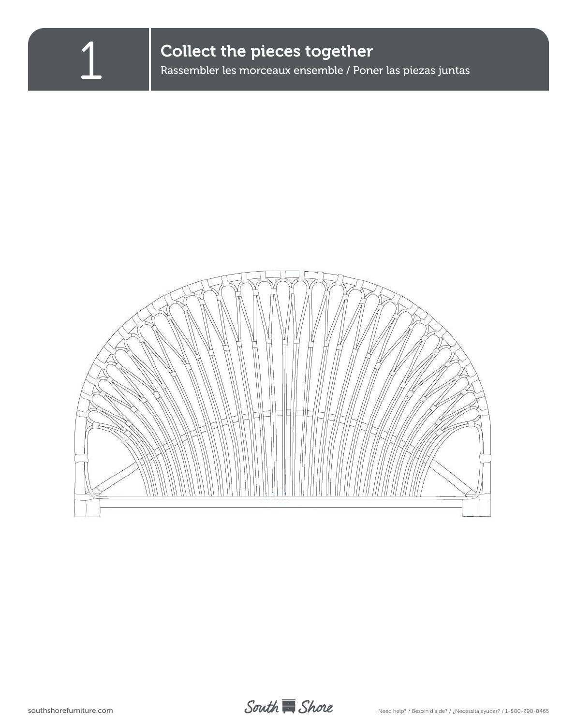

Collect the pieces together<br>Rassembler les morceaux ensemble / Poner las piezas juntas



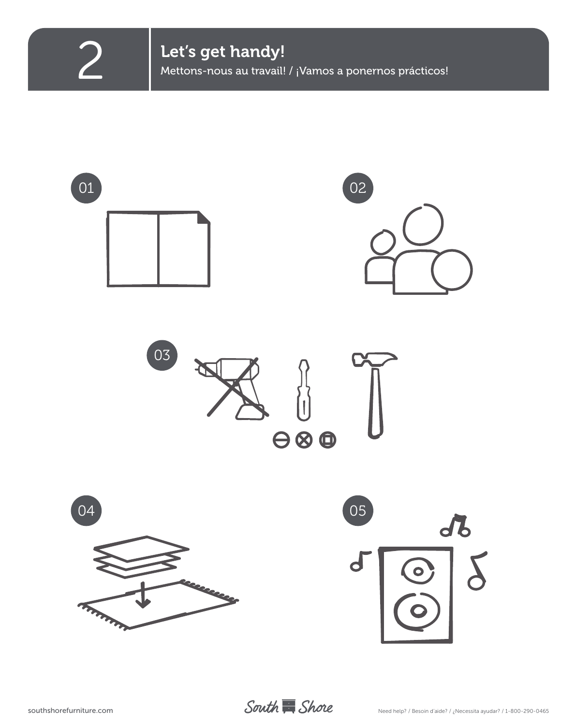**2** Let's get handy!<br>Mettons-nous au travail! / ¡Vamos a ponernos prácticos!

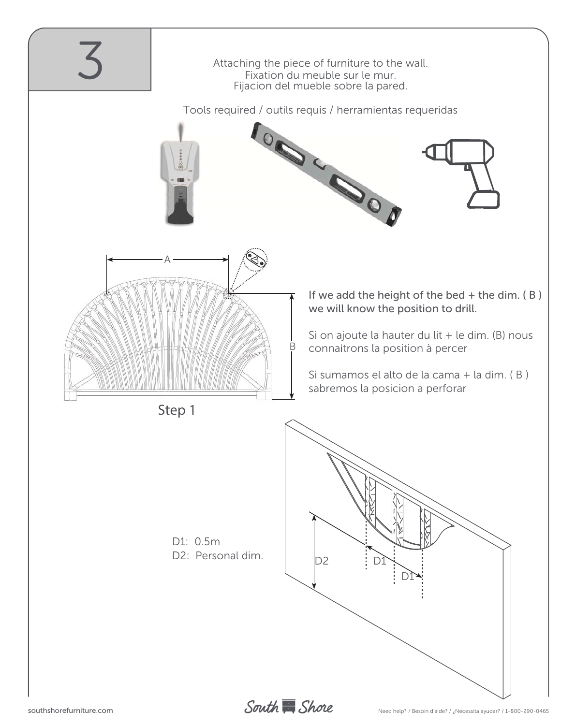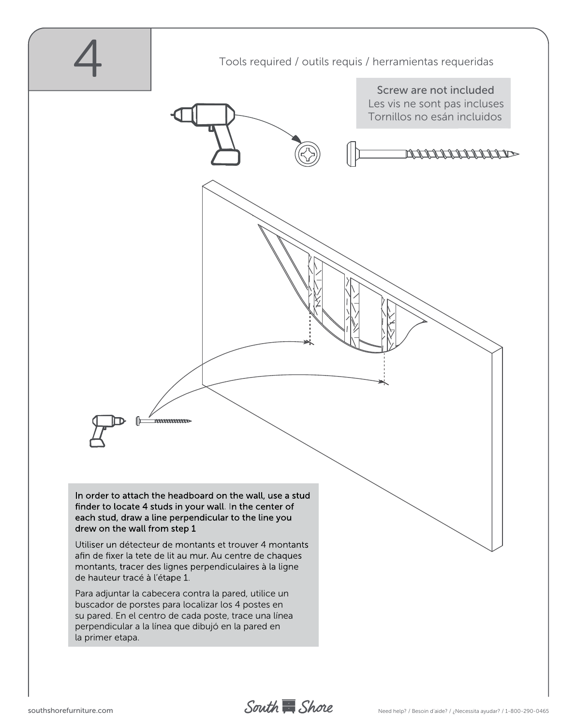

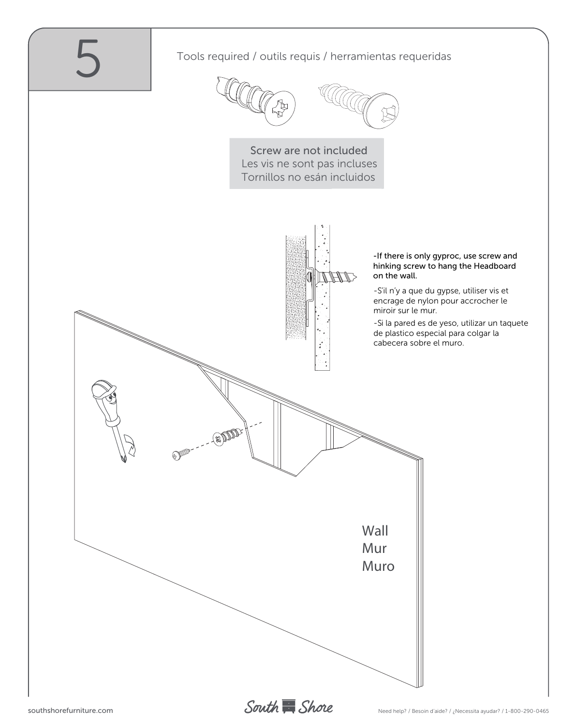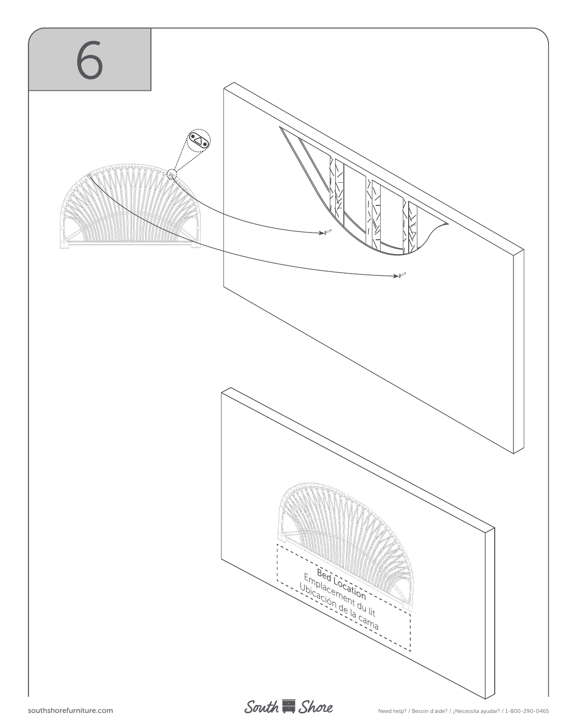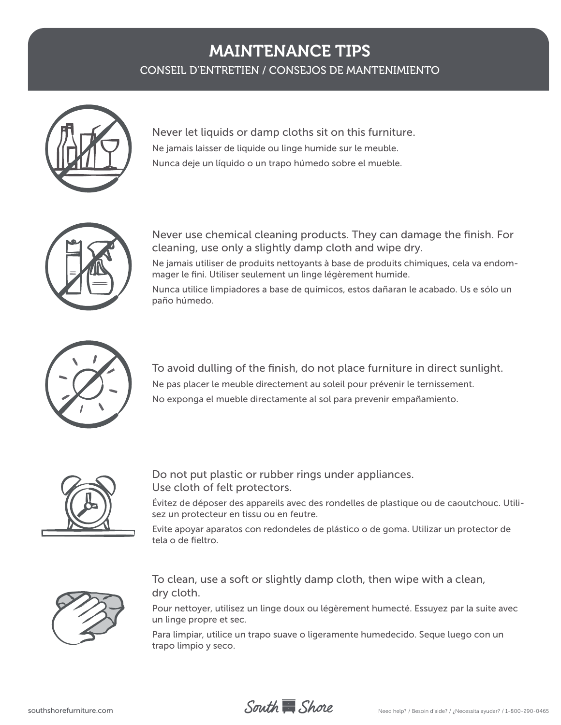### MAINTENANCE TIPS

CONSEIL D'ENTRETIEN / CONSEJOS DE MANTENIMIENTO



Never let liquids or damp cloths sit on this furniture. Ne jamais laisser de liquide ou linge humide sur le meuble. Nunca deje un líquido o un trapo húmedo sobre el mueble.



Never use chemical cleaning products. They can damage the finish. For cleaning, use only a slightly damp cloth and wipe dry.

Ne jamais utiliser de produits nettoyants à base de produits chimiques, cela va endommager le fini. Utiliser seulement un linge légèrement humide.

Nunca utilice limpiadores a base de químicos, estos dañaran le acabado. Us e sólo un paño húmedo.



To avoid dulling of the finish, do not place furniture in direct sunlight. Ne pas placer le meuble directement au soleil pour prévenir le ternissement. No exponga el mueble directamente al sol para prevenir empañamiento.



Do not put plastic or rubber rings under appliances. Use cloth of felt protectors.

Évitez de déposer des appareils avec des rondelles de plastique ou de caoutchouc. Utilisez un protecteur en tissu ou en feutre.

Evite apoyar aparatos con redondeles de plástico o de goma. Utilizar un protector de tela o de fieltro.



To clean, use a soft or slightly damp cloth, then wipe with a clean, dry cloth.

Pour nettoyer, utilisez un linge doux ou légèrement humecté. Essuyez par la suite avec un linge propre et sec.

Para limpiar, utilice un trapo suave o ligeramente humedecido. Seque luego con un trapo limpio y seco.



southshorefurniture.com

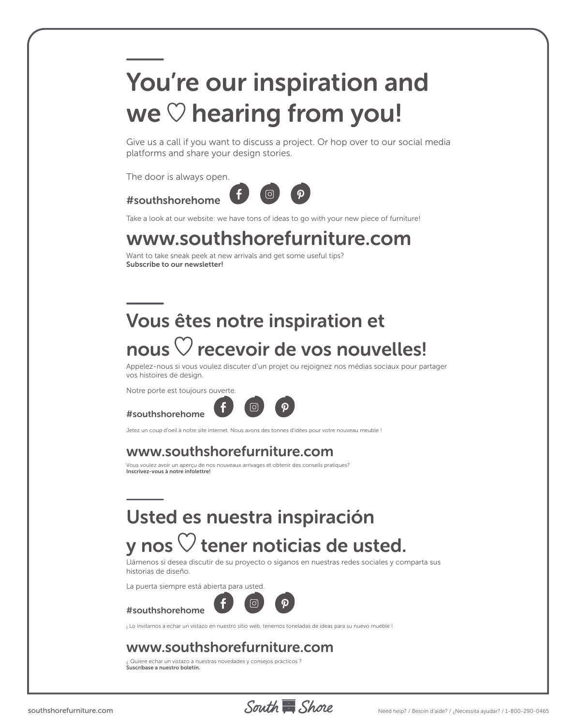# You're our inspiration and we  $\heartsuit$  hearing from you!

Give us a call if you want to discuss a project. Or hop over to our social media platforms and share your design stories.

The door is always open.





Take a look at our website: we have tons of ideas to go with your new piece of furniture!

### www.southshorefurniture.com

Want to take sneak peek at new arrivals and get some useful tips? **Subscribe to our newsletter!**

# Vous êtes notre inspiration et nous  $\heartsuit$  recevoir de vos nouvelles!

Appelez-nous si vous voulez discuter d'un projet ou rejoignez nos médias sociaux pour partager vos histoires de design.

Notre porte est toujours ouverte.

### #southshorehome



Jetez un coup d'oeil à notre site internet. Nous avons des tonnes d'idées pour votre nouveau meuble !

### www.southshorefurniture.com

Vous voulez avoir un aperçu de nos nouveaux arrivages et obtenir des conseils pratiques? **Inscrivez-vous à notre infolettre!**

# Usted es nuestra inspiración

## y nos  $\heartsuit$  tener noticias de usted.

Llámenos si desea discutir de su proyecto o síganos en nuestras redes sociales y comparta sus historias de diseño.

La puerta siempre está abierta para usted.



¡ Lo invitamos a echar un vistazo en nuestro sitio web, tenemos toneladas de ideas para su nuevo mueble !

### www.southshorefurniture.com

¿ Quiere echar un vistazo a nuestras novedades y consejos prácticos ? **Suscríbase a nuestro boletín.**